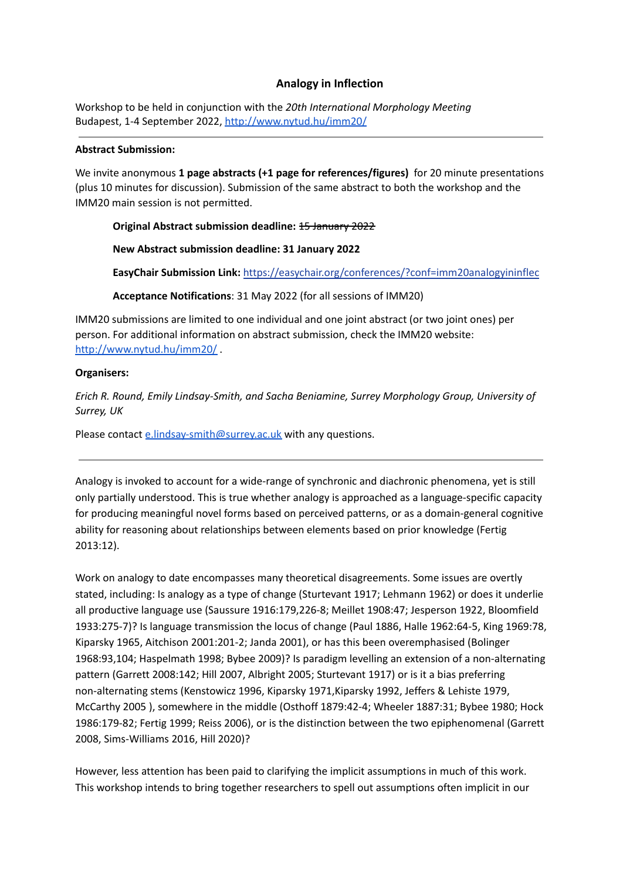# **Analogy in Inflection**

Workshop to be held in conjunction with the *20th International Morphology Meeting* Budapest, 1-4 September 2022, <http://www.nytud.hu/imm20/>

### **Abstract Submission:**

We invite anonymous **1 page abstracts (+1 page for references/figures)** for 20 minute presentations (plus 10 minutes for discussion). Submission of the same abstract to both the workshop and the IMM20 main session is not permitted.

### **Original Abstract submission deadline:** 15 January 2022

## **New Abstract submission deadline: 31 January 2022**

**EasyChair Submission Link:** <https://easychair.org/conferences/?conf=imm20analogyininflec>

### **Acceptance Notifications**: 31 May 2022 (for all sessions of IMM20)

IMM20 submissions are limited to one individual and one joint abstract (or two joint ones) per person. For additional information on abstract submission, check the IMM20 website: <http://www.nytud.hu/imm20/> .

## **Organisers:**

*Erich R. Round, Emily Lindsay-Smith, and Sacha Beniamine, Surrey Morphology Group, University of Surrey, UK*

Please contact [e.lindsay-smith@surrey.ac.uk](mailto:e.Lindsay-Smith@surrey.ac.uk) with any questions.

Analogy is invoked to account for a wide-range of synchronic and diachronic phenomena, yet is still only partially understood. This is true whether analogy is approached as a language-specific capacity for producing meaningful novel forms based on perceived patterns, or as a domain-general cognitive ability for reasoning about relationships between elements based on prior knowledge (Fertig 2013:12).

Work on analogy to date encompasses many theoretical disagreements. Some issues are overtly stated, including: Is analogy as a type of change (Sturtevant 1917; Lehmann 1962) or does it underlie all productive language use (Saussure 1916:179,226-8; Meillet 1908:47; Jesperson 1922, Bloomfield 1933:275-7)? Is language transmission the locus of change (Paul 1886, Halle 1962:64-5, King 1969:78, Kiparsky 1965, Aitchison 2001:201-2; Janda 2001), or has this been overemphasised (Bolinger 1968:93,104; Haspelmath 1998; Bybee 2009)? Is paradigm levelling an extension of a non-alternating pattern (Garrett 2008:142; Hill 2007, Albright 2005; Sturtevant 1917) or is it a bias preferring non-alternating stems (Kenstowicz 1996, Kiparsky 1971,Kiparsky 1992, Jeffers & Lehiste 1979, McCarthy 2005 ), somewhere in the middle (Osthoff 1879:42-4; Wheeler 1887:31; Bybee 1980; Hock 1986:179-82; Fertig 1999; Reiss 2006), or is the distinction between the two epiphenomenal (Garrett 2008, Sims-Williams 2016, Hill 2020)?

However, less attention has been paid to clarifying the implicit assumptions in much of this work. This workshop intends to bring together researchers to spell out assumptions often implicit in our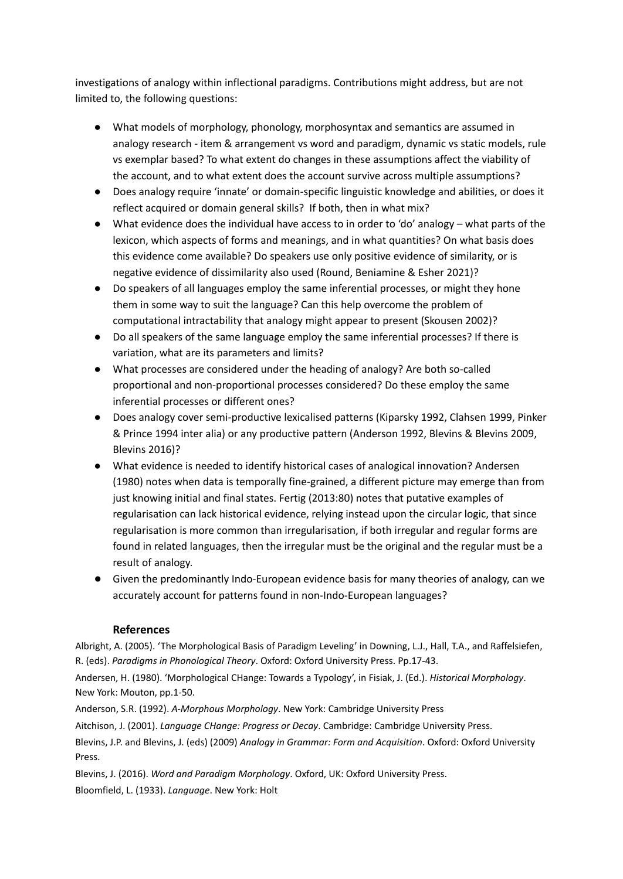investigations of analogy within inflectional paradigms. Contributions might address, but are not limited to, the following questions:

- What models of morphology, phonology, morphosyntax and semantics are assumed in analogy research - item & arrangement vs word and paradigm, dynamic vs static models, rule vs exemplar based? To what extent do changes in these assumptions affect the viability of the account, and to what extent does the account survive across multiple assumptions?
- Does analogy require 'innate' or domain-specific linguistic knowledge and abilities, or does it reflect acquired or domain general skills? If both, then in what mix?
- What evidence does the individual have access to in order to 'do' analogy what parts of the lexicon, which aspects of forms and meanings, and in what quantities? On what basis does this evidence come available? Do speakers use only positive evidence of similarity, or is negative evidence of dissimilarity also used (Round, Beniamine & Esher 2021)?
- Do speakers of all languages employ the same inferential processes, or might they hone them in some way to suit the language? Can this help overcome the problem of computational intractability that analogy might appear to present (Skousen 2002)?
- Do all speakers of the same language employ the same inferential processes? If there is variation, what are its parameters and limits?
- What processes are considered under the heading of analogy? Are both so-called proportional and non-proportional processes considered? Do these employ the same inferential processes or different ones?
- Does analogy cover semi-productive lexicalised patterns (Kiparsky 1992, Clahsen 1999, Pinker & Prince 1994 inter alia) or any productive pattern (Anderson 1992, Blevins & Blevins 2009, Blevins 2016)?
- What evidence is needed to identify historical cases of analogical innovation? Andersen (1980) notes when data is temporally fine-grained, a different picture may emerge than from just knowing initial and final states. Fertig (2013:80) notes that putative examples of regularisation can lack historical evidence, relying instead upon the circular logic, that since regularisation is more common than irregularisation, if both irregular and regular forms are found in related languages, then the irregular must be the original and the regular must be a result of analogy.
- Given the predominantly Indo-European evidence basis for many theories of analogy, can we accurately account for patterns found in non-Indo-European languages?

# **References**

Albright, A. (2005). 'The Morphological Basis of Paradigm Leveling' in Downing, L.J., Hall, T.A., and Raffelsiefen, R. (eds). *Paradigms in Phonological Theory*. Oxford: Oxford University Press. Pp.17-43.

Andersen, H. (1980). 'Morphological CHange: Towards a Typology', in Fisiak, J. (Ed.). *Historical Morphology*. New York: Mouton, pp.1-50.

Anderson, S.R. (1992). *A-Morphous Morphology*. New York: Cambridge University Press

Aitchison, J. (2001). *Language CHange: Progress or Decay*. Cambridge: Cambridge University Press.

Blevins, J.P. and Blevins, J. (eds) (2009) *Analogy in Grammar: Form and Acquisition*. Oxford: Oxford University Press.

Blevins, J. (2016). *Word and Paradigm Morphology*. Oxford, UK: Oxford University Press. Bloomfield, L. (1933). *Language*. New York: Holt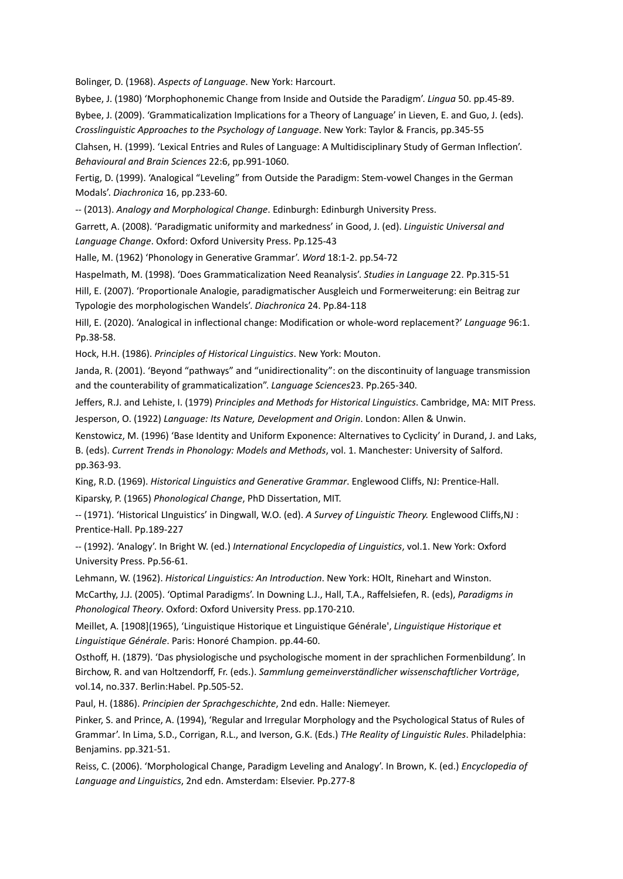Bolinger, D. (1968). *Aspects of Language*. New York: Harcourt.

Bybee, J. (1980) 'Morphophonemic Change from Inside and Outside the Paradigm'. *Lingua* 50. pp.45-89.

Bybee, J. (2009). 'Grammaticalization Implications for a Theory of Language' in Lieven, E. and Guo, J. (eds). *Crosslinguistic Approaches to the Psychology of Language*. New York: Taylor & Francis, pp.345-55

Clahsen, H. (1999). 'Lexical Entries and Rules of Language: A Multidisciplinary Study of German Inflection'. *Behavioural and Brain Sciences* 22:6, pp.991-1060.

Fertig, D. (1999). 'Analogical "Leveling" from Outside the Paradigm: Stem-vowel Changes in the German Modals'. *Diachronica* 16, pp.233-60.

-- (2013). *Analogy and Morphological Change*. Edinburgh: Edinburgh University Press.

Garrett, A. (2008). 'Paradigmatic uniformity and markedness' in Good, J. (ed). *Linguistic Universal and Language Change*. Oxford: Oxford University Press. Pp.125-43

Halle, M. (1962) 'Phonology in Generative Grammar'. *Word* 18:1-2. pp.54-72

Haspelmath, M. (1998). 'Does Grammaticalization Need Reanalysis'. *Studies in Language* 22. Pp.315-51

Hill, E. (2007). 'Proportionale Analogie, paradigmatischer Ausgleich und Formerweiterung: ein Beitrag zur Typologie des morphologischen Wandels'. *Diachronica* 24. Pp.84-118

Hill, E. (2020). 'Analogical in inflectional change: Modification or whole-word replacement?' *Language* 96:1. Pp.38-58.

Hock, H.H. (1986). *Principles of Historical Linguistics*. New York: Mouton.

Janda, R. (2001). 'Beyond "pathways" and "unidirectionality": on the discontinuity of language transmission and the counterability of grammaticalization". *Language Sciences*23. Pp.265-340.

Jeffers, R.J. and Lehiste, I. (1979) *Principles and Methods for Historical Linguistics*. Cambridge, MA: MIT Press. Jesperson, O. (1922) *Language: Its Nature, Development and Origin*. London: Allen & Unwin.

Kenstowicz, M. (1996) 'Base Identity and Uniform Exponence: Alternatives to Cyclicity' in Durand, J. and Laks, B. (eds). *Current Trends in Phonology: Models and Methods*, vol. 1. Manchester: University of Salford. pp.363-93.

King, R.D. (1969). *Historical Linguistics and Generative Grammar*. Englewood Cliffs, NJ: Prentice-Hall. Kiparsky, P. (1965) *Phonological Change*, PhD Dissertation, MIT.

-- (1971). 'Historical LInguistics' in Dingwall, W.O. (ed). *A Survey of Linguistic Theory.* Englewood Cliffs,NJ : Prentice-Hall. Pp.189-227

-- (1992). 'Analogy'. In Bright W. (ed.) *International Encyclopedia of Linguistics*, vol.1. New York: Oxford University Press. Pp.56-61.

Lehmann, W. (1962). *Historical Linguistics: An Introduction*. New York: HOlt, Rinehart and Winston.

McCarthy, J.J. (2005). 'Optimal Paradigms'. In Downing L.J., Hall, T.A., Raffelsiefen, R. (eds), *Paradigms in Phonological Theory*. Oxford: Oxford University Press. pp.170-210.

Meillet, A. [1908](1965), 'Linguistique Historique et Linguistique Générale', *Linguistique Historique et Linguistique Générale*. Paris: Honoré Champion. pp.44-60.

Osthoff, H. (1879). 'Das physiologische und psychologische moment in der sprachlichen Formenbildung'. In Birchow, R. and van Holtzendorff, Fr. (eds.). *Sammlung gemeinverständlicher wissenschaftlicher Vorträge*, vol.14, no.337. Berlin:Habel. Pp.505-52.

Paul, H. (1886). *Principien der Sprachgeschichte*, 2nd edn. Halle: Niemeyer.

Pinker, S. and Prince, A. (1994), 'Regular and Irregular Morphology and the Psychological Status of Rules of Grammar'. In Lima, S.D., Corrigan, R.L., and Iverson, G.K. (Eds.) *THe Reality of Linguistic Rules*. Philadelphia: Benjamins. pp.321-51.

Reiss, C. (2006). 'Morphological Change, Paradigm Leveling and Analogy'. In Brown, K. (ed.) *Encyclopedia of Language and Linguistics*, 2nd edn. Amsterdam: Elsevier. Pp.277-8